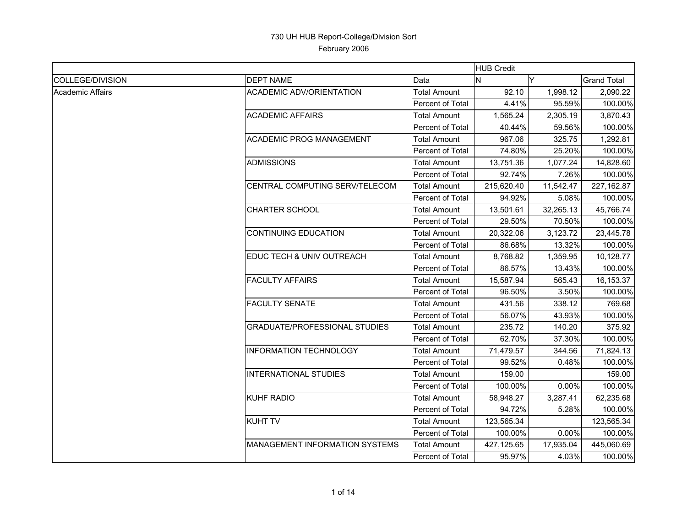|                         |                                      |                         | <b>HUB Credit</b> |           |                    |
|-------------------------|--------------------------------------|-------------------------|-------------------|-----------|--------------------|
| <b>COLLEGE/DIVISION</b> | <b>DEPT NAME</b>                     | Data                    | N                 | Y         | <b>Grand Total</b> |
| Academic Affairs        | <b>ACADEMIC ADV/ORIENTATION</b>      | <b>Total Amount</b>     | 92.10             | 1,998.12  | 2,090.22           |
|                         |                                      | Percent of Total        | 4.41%             | 95.59%    | 100.00%            |
|                         | <b>ACADEMIC AFFAIRS</b>              | <b>Total Amount</b>     | 1,565.24          | 2,305.19  | 3,870.43           |
|                         |                                      | Percent of Total        | 40.44%            | 59.56%    | 100.00%            |
|                         | <b>ACADEMIC PROG MANAGEMENT</b>      | <b>Total Amount</b>     | 967.06            | 325.75    | 1,292.81           |
|                         |                                      | Percent of Total        | 74.80%            | 25.20%    | 100.00%            |
|                         | <b>ADMISSIONS</b>                    | <b>Total Amount</b>     | 13,751.36         | 1,077.24  | 14,828.60          |
|                         |                                      | <b>Percent of Total</b> | 92.74%            | 7.26%     | 100.00%            |
|                         | CENTRAL COMPUTING SERV/TELECOM       | <b>Total Amount</b>     | 215,620.40        | 11,542.47 | 227,162.87         |
|                         |                                      | Percent of Total        | 94.92%            | 5.08%     | 100.00%            |
|                         | <b>CHARTER SCHOOL</b>                | <b>Total Amount</b>     | 13,501.61         | 32,265.13 | 45,766.74          |
|                         |                                      | Percent of Total        | 29.50%            | 70.50%    | 100.00%            |
|                         | <b>CONTINUING EDUCATION</b>          | <b>Total Amount</b>     | 20,322.06         | 3,123.72  | 23,445.78          |
|                         |                                      | <b>Percent of Total</b> | 86.68%            | 13.32%    | 100.00%            |
|                         | EDUC TECH & UNIV OUTREACH            | <b>Total Amount</b>     | 8,768.82          | 1,359.95  | 10,128.77          |
|                         |                                      | Percent of Total        | 86.57%            | 13.43%    | 100.00%            |
|                         | <b>FACULTY AFFAIRS</b>               | <b>Total Amount</b>     | 15,587.94         | 565.43    | 16,153.37          |
|                         |                                      | Percent of Total        | 96.50%            | 3.50%     | 100.00%            |
|                         | <b>FACULTY SENATE</b>                | <b>Total Amount</b>     | 431.56            | 338.12    | 769.68             |
|                         |                                      | Percent of Total        | 56.07%            | 43.93%    | 100.00%            |
|                         | <b>GRADUATE/PROFESSIONAL STUDIES</b> | <b>Total Amount</b>     | 235.72            | 140.20    | 375.92             |
|                         |                                      | Percent of Total        | 62.70%            | 37.30%    | 100.00%            |
|                         | <b>INFORMATION TECHNOLOGY</b>        | <b>Total Amount</b>     | 71,479.57         | 344.56    | 71,824.13          |
|                         |                                      | <b>Percent of Total</b> | 99.52%            | 0.48%     | 100.00%            |
|                         | <b>INTERNATIONAL STUDIES</b>         | <b>Total Amount</b>     | 159.00            |           | 159.00             |
|                         |                                      | Percent of Total        | 100.00%           | 0.00%     | 100.00%            |
|                         | <b>KUHF RADIO</b>                    | <b>Total Amount</b>     | 58,948.27         | 3,287.41  | 62,235.68          |
|                         |                                      | Percent of Total        | 94.72%            | 5.28%     | 100.00%            |
|                         | <b>KUHT TV</b>                       | <b>Total Amount</b>     | 123,565.34        |           | 123,565.34         |
|                         |                                      | Percent of Total        | 100.00%           | 0.00%     | 100.00%            |
|                         | MANAGEMENT INFORMATION SYSTEMS       | <b>Total Amount</b>     | 427,125.65        | 17,935.04 | 445,060.69         |
|                         |                                      | Percent of Total        | 95.97%            | 4.03%     | 100.00%            |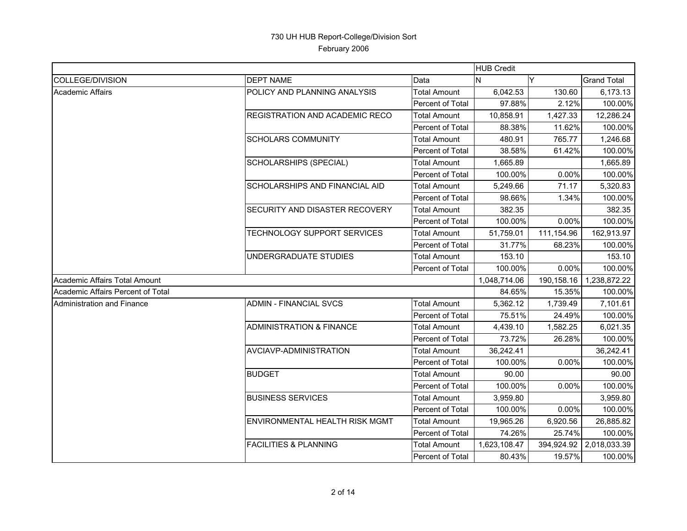| <b>COLLEGE/DIVISION</b>           | <b>DEPT NAME</b>                    | Data                    | N            | Y          | <b>Grand Total</b> |
|-----------------------------------|-------------------------------------|-------------------------|--------------|------------|--------------------|
| Academic Affairs                  | POLICY AND PLANNING ANALYSIS        | <b>Total Amount</b>     | 6,042.53     | 130.60     | 6,173.13           |
|                                   |                                     | Percent of Total        | 97.88%       | 2.12%      | 100.00%            |
|                                   | REGISTRATION AND ACADEMIC RECO      | <b>Total Amount</b>     | 10,858.91    | 1,427.33   | 12,286.24          |
|                                   |                                     | Percent of Total        | 88.38%       | 11.62%     | 100.00%            |
|                                   | <b>SCHOLARS COMMUNITY</b>           | <b>Total Amount</b>     | 480.91       | 765.77     | 1,246.68           |
|                                   |                                     | Percent of Total        | 38.58%       | 61.42%     | 100.00%            |
|                                   | SCHOLARSHIPS (SPECIAL)              | <b>Total Amount</b>     | 1,665.89     |            | 1,665.89           |
|                                   |                                     | <b>Percent of Total</b> | 100.00%      | $0.00\%$   | 100.00%            |
|                                   | SCHOLARSHIPS AND FINANCIAL AID      | Total Amount            | 5,249.66     | 71.17      | 5,320.83           |
|                                   |                                     | Percent of Total        | 98.66%       | 1.34%      | 100.00%            |
|                                   | SECURITY AND DISASTER RECOVERY      | <b>Total Amount</b>     | 382.35       |            | 382.35             |
|                                   |                                     | <b>Percent of Total</b> | 100.00%      | 0.00%      | 100.00%            |
|                                   | TECHNOLOGY SUPPORT SERVICES         | <b>Total Amount</b>     | 51,759.01    | 111,154.96 | 162,913.97         |
|                                   |                                     | Percent of Total        | 31.77%       | 68.23%     | 100.00%            |
|                                   | UNDERGRADUATE STUDIES               | <b>Total Amount</b>     | 153.10       |            | 153.10             |
|                                   |                                     | Percent of Total        | 100.00%      | $0.00\%$   | 100.00%            |
| Academic Affairs Total Amount     |                                     |                         | 1,048,714.06 | 190,158.16 | 1,238,872.22       |
| Academic Affairs Percent of Total |                                     |                         | 84.65%       | 15.35%     | 100.00%            |
| <b>Administration and Finance</b> | <b>ADMIN - FINANCIAL SVCS</b>       | <b>Total Amount</b>     | 5,362.12     | 1,739.49   | 7,101.61           |
|                                   |                                     | Percent of Total        | 75.51%       | 24.49%     | 100.00%            |
|                                   | <b>ADMINISTRATION &amp; FINANCE</b> | <b>Total Amount</b>     | 4,439.10     | 1,582.25   | 6,021.35           |
|                                   |                                     | Percent of Total        | 73.72%       | 26.28%     | 100.00%            |
|                                   | AVCIAVP-ADMINISTRATION              | <b>Total Amount</b>     | 36,242.41    |            | 36,242.41          |
|                                   |                                     | Percent of Total        | 100.00%      | 0.00%      | 100.00%            |
|                                   | <b>BUDGET</b>                       | <b>Total Amount</b>     | 90.00        |            | 90.00              |
|                                   |                                     | <b>Percent of Total</b> | 100.00%      | $0.00\%$   | 100.00%            |
|                                   | <b>BUSINESS SERVICES</b>            | <b>Total Amount</b>     | 3,959.80     |            | 3,959.80           |
|                                   |                                     | Percent of Total        | 100.00%      | 0.00%      | 100.00%            |
|                                   | ENVIRONMENTAL HEALTH RISK MGMT      | <b>Total Amount</b>     | 19,965.26    | 6,920.56   | 26,885.82          |
|                                   |                                     | <b>Percent of Total</b> | 74.26%       | 25.74%     | 100.00%            |
|                                   | <b>FACILITIES &amp; PLANNING</b>    | <b>Total Amount</b>     | 1,623,108.47 | 394,924.92 | 2,018,033.39       |
|                                   |                                     | Percent of Total        | 80.43%       | 19.57%     | 100.00%            |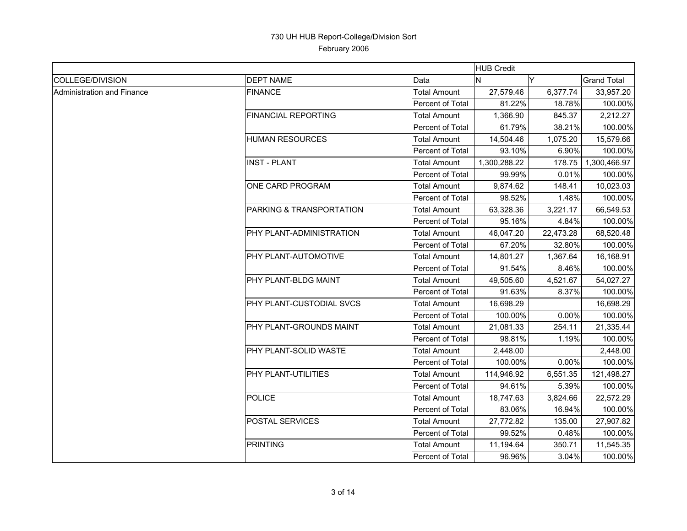|                            |                            |                         | <b>HUB Credit</b> |           |                    |
|----------------------------|----------------------------|-------------------------|-------------------|-----------|--------------------|
| COLLEGE/DIVISION           | <b>DEPT NAME</b>           | Data                    | N                 | Y         | <b>Grand Total</b> |
| Administration and Finance | <b>FINANCE</b>             | <b>Total Amount</b>     | 27,579.46         | 6,377.74  | 33,957.20          |
|                            |                            | Percent of Total        | 81.22%            | 18.78%    | 100.00%            |
|                            | <b>FINANCIAL REPORTING</b> | <b>Total Amount</b>     | 1,366.90          | 845.37    | 2,212.27           |
|                            |                            | Percent of Total        | 61.79%            | 38.21%    | 100.00%            |
|                            | <b>HUMAN RESOURCES</b>     | <b>Total Amount</b>     | 14,504.46         | 1,075.20  | 15,579.66          |
|                            |                            | Percent of Total        | 93.10%            | 6.90%     | 100.00%            |
|                            | <b>INST - PLANT</b>        | <b>Total Amount</b>     | 1,300,288.22      | 178.75    | 1,300,466.97       |
|                            |                            | <b>Percent of Total</b> | 99.99%            | 0.01%     | 100.00%            |
|                            | ONE CARD PROGRAM           | <b>Total Amount</b>     | 9,874.62          | 148.41    | 10,023.03          |
|                            |                            | Percent of Total        | 98.52%            | 1.48%     | 100.00%            |
|                            | PARKING & TRANSPORTATION   | <b>Total Amount</b>     | 63,328.36         | 3,221.17  | 66,549.53          |
|                            |                            | Percent of Total        | 95.16%            | 4.84%     | 100.00%            |
|                            | PHY PLANT-ADMINISTRATION   | <b>Total Amount</b>     | 46,047.20         | 22,473.28 | 68,520.48          |
|                            |                            | Percent of Total        | 67.20%            | 32.80%    | 100.00%            |
|                            | PHY PLANT-AUTOMOTIVE       | <b>Total Amount</b>     | 14,801.27         | 1,367.64  | 16,168.91          |
|                            |                            | Percent of Total        | 91.54%            | 8.46%     | 100.00%            |
|                            | PHY PLANT-BLDG MAINT       | <b>Total Amount</b>     | 49,505.60         | 4,521.67  | 54,027.27          |
|                            |                            | Percent of Total        | 91.63%            | 8.37%     | 100.00%            |
|                            | PHY PLANT-CUSTODIAL SVCS   | <b>Total Amount</b>     | 16,698.29         |           | 16,698.29          |
|                            |                            | Percent of Total        | 100.00%           | 0.00%     | 100.00%            |
|                            | PHY PLANT-GROUNDS MAINT    | <b>Total Amount</b>     | 21,081.33         | 254.11    | 21,335.44          |
|                            |                            | Percent of Total        | 98.81%            | 1.19%     | 100.00%            |
|                            | PHY PLANT-SOLID WASTE      | <b>Total Amount</b>     | 2,448.00          |           | 2,448.00           |
|                            |                            | Percent of Total        | 100.00%           | 0.00%     | 100.00%            |
|                            | PHY PLANT-UTILITIES        | <b>Total Amount</b>     | 114,946.92        | 6,551.35  | 121,498.27         |
|                            |                            | Percent of Total        | 94.61%            | 5.39%     | 100.00%            |
|                            | <b>POLICE</b>              | <b>Total Amount</b>     | 18,747.63         | 3,824.66  | 22,572.29          |
|                            |                            | <b>Percent of Total</b> | 83.06%            | 16.94%    | 100.00%            |
|                            | <b>POSTAL SERVICES</b>     | <b>Total Amount</b>     | 27,772.82         | 135.00    | 27,907.82          |
|                            |                            | Percent of Total        | 99.52%            | 0.48%     | 100.00%            |
|                            | <b>PRINTING</b>            | <b>Total Amount</b>     | 11,194.64         | 350.71    | 11,545.35          |
|                            |                            | Percent of Total        | 96.96%            | 3.04%     | 100.00%            |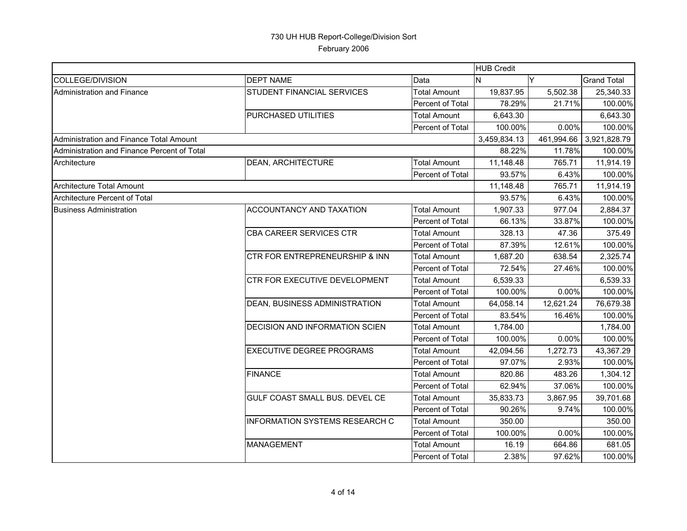|                                             |                                       |                         | <b>HUB Credit</b> |            |                    |
|---------------------------------------------|---------------------------------------|-------------------------|-------------------|------------|--------------------|
| COLLEGE/DIVISION                            | <b>DEPT NAME</b>                      | Data                    | IN.               | Y          | <b>Grand Total</b> |
| Administration and Finance                  | STUDENT FINANCIAL SERVICES            | <b>Total Amount</b>     | 19,837.95         | 5,502.38   | 25,340.33          |
|                                             |                                       | <b>Percent of Total</b> | 78.29%            | 21.71%     | 100.00%            |
|                                             | PURCHASED UTILITIES                   | <b>Total Amount</b>     | 6,643.30          |            | 6,643.30           |
|                                             |                                       | Percent of Total        | 100.00%           | 0.00%      | 100.00%            |
| Administration and Finance Total Amount     |                                       |                         | 3,459,834.13      | 461,994.66 | 3,921,828.79       |
| Administration and Finance Percent of Total |                                       |                         | 88.22%            | 11.78%     | 100.00%            |
| Architecture                                | <b>DEAN, ARCHITECTURE</b>             | Total Amount            | 11,148.48         | 765.71     | 11,914.19          |
|                                             |                                       | Percent of Total        | 93.57%            | 6.43%      | 100.00%            |
| <b>Architecture Total Amount</b>            |                                       |                         | 11,148.48         | 765.71     | 11,914.19          |
| Architecture Percent of Total               |                                       |                         | 93.57%            | 6.43%      | 100.00%            |
| <b>Business Administration</b>              | <b>ACCOUNTANCY AND TAXATION</b>       | <b>Total Amount</b>     | 1.907.33          | 977.04     | 2,884.37           |
|                                             |                                       | Percent of Total        | 66.13%            | 33.87%     | 100.00%            |
|                                             | <b>CBA CAREER SERVICES CTR</b>        | <b>Total Amount</b>     | 328.13            | 47.36      | 375.49             |
|                                             |                                       | Percent of Total        | 87.39%            | 12.61%     | 100.00%            |
|                                             | CTR FOR ENTREPRENEURSHIP & INN        | Total Amount            | 1,687.20          | 638.54     | 2,325.74           |
|                                             |                                       | <b>Percent of Total</b> | 72.54%            | 27.46%     | 100.00%            |
|                                             | CTR FOR EXECUTIVE DEVELOPMENT         | <b>Total Amount</b>     | 6,539.33          |            | 6,539.33           |
|                                             |                                       | <b>Percent of Total</b> | 100.00%           | 0.00%      | 100.00%            |
|                                             | DEAN, BUSINESS ADMINISTRATION         | <b>Total Amount</b>     | 64,058.14         | 12,621.24  | 76,679.38          |
|                                             |                                       | Percent of Total        | 83.54%            | 16.46%     | 100.00%            |
|                                             | <b>DECISION AND INFORMATION SCIEN</b> | Total Amount            | 1,784.00          |            | 1,784.00           |
|                                             |                                       | Percent of Total        | 100.00%           | 0.00%      | 100.00%            |
|                                             | <b>EXECUTIVE DEGREE PROGRAMS</b>      | <b>Total Amount</b>     | 42,094.56         | 1,272.73   | 43,367.29          |
|                                             |                                       | Percent of Total        | 97.07%            | 2.93%      | 100.00%            |
|                                             | <b>FINANCE</b>                        | <b>Total Amount</b>     | 820.86            | 483.26     | 1,304.12           |
|                                             |                                       | Percent of Total        | 62.94%            | 37.06%     | 100.00%            |
|                                             | GULF COAST SMALL BUS. DEVEL CE        | <b>Total Amount</b>     | 35,833.73         | 3,867.95   | 39,701.68          |
|                                             |                                       | Percent of Total        | 90.26%            | 9.74%      | 100.00%            |
|                                             | <b>INFORMATION SYSTEMS RESEARCH C</b> | Total Amount            | 350.00            |            | 350.00             |
|                                             |                                       | <b>Percent of Total</b> | 100.00%           | 0.00%      | 100.00%            |
|                                             | <b>MANAGEMENT</b>                     | <b>Total Amount</b>     | 16.19             | 664.86     | 681.05             |
|                                             |                                       | Percent of Total        | 2.38%             | 97.62%     | 100.00%            |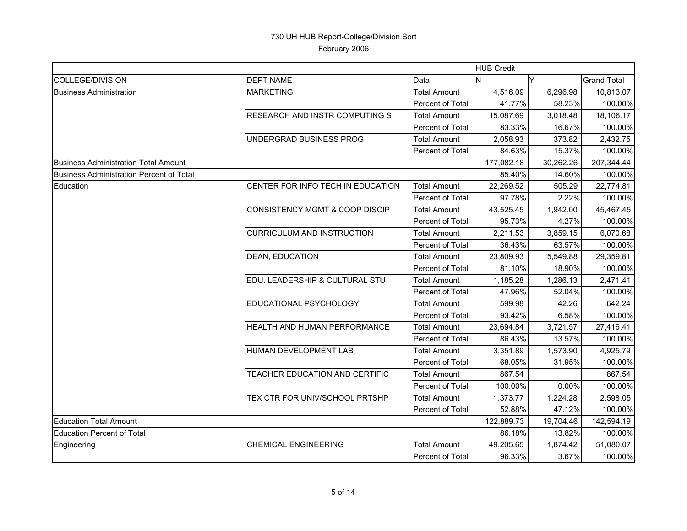|                                                 |                                   |                         | <b>HUB Credit</b> |           |                    |
|-------------------------------------------------|-----------------------------------|-------------------------|-------------------|-----------|--------------------|
| <b>COLLEGE/DIVISION</b>                         | <b>DEPT NAME</b>                  | Data                    | N                 | Y         | <b>Grand Total</b> |
| <b>Business Administration</b>                  | <b>MARKETING</b>                  | <b>Total Amount</b>     | 4,516.09          | 6,296.98  | 10,813.07          |
|                                                 |                                   | Percent of Total        | 41.77%            | 58.23%    | 100.00%            |
|                                                 | RESEARCH AND INSTR COMPUTING S    | <b>Total Amount</b>     | 15,087.69         | 3,018.48  | 18,106.17          |
|                                                 |                                   | Percent of Total        | 83.33%            | 16.67%    | 100.00%            |
|                                                 | UNDERGRAD BUSINESS PROG           | <b>Total Amount</b>     | 2,058.93          | 373.82    | 2,432.75           |
|                                                 |                                   | Percent of Total        | 84.63%            | 15.37%    | 100.00%            |
| <b>Business Administration Total Amount</b>     |                                   |                         | 177,082.18        | 30,262.26 | 207,344.44         |
| <b>Business Administration Percent of Total</b> |                                   |                         | 85.40%            | 14.60%    | 100.00%            |
| Education                                       | CENTER FOR INFO TECH IN EDUCATION | <b>Total Amount</b>     | 22,269.52         | 505.29    | 22,774.81          |
|                                                 |                                   | Percent of Total        | 97.78%            | 2.22%     | 100.00%            |
|                                                 | CONSISTENCY MGMT & COOP DISCIP    | <b>Total Amount</b>     | 43,525.45         | 1,942.00  | 45,467.45          |
|                                                 |                                   | <b>Percent of Total</b> | 95.73%            | 4.27%     | 100.00%            |
|                                                 | <b>CURRICULUM AND INSTRUCTION</b> | <b>Total Amount</b>     | 2,211.53          | 3,859.15  | 6,070.68           |
|                                                 |                                   | <b>Percent of Total</b> | 36.43%            | 63.57%    | 100.00%            |
|                                                 | <b>DEAN, EDUCATION</b>            | <b>Total Amount</b>     | 23,809.93         | 5,549.88  | 29,359.81          |
|                                                 |                                   | Percent of Total        | 81.10%            | 18.90%    | 100.00%            |
|                                                 | EDU. LEADERSHIP & CULTURAL STU    | <b>Total Amount</b>     | 1,185.28          | 1,286.13  | 2,471.41           |
|                                                 |                                   | Percent of Total        | 47.96%            | 52.04%    | 100.00%            |
|                                                 | EDUCATIONAL PSYCHOLOGY            | <b>Total Amount</b>     | 599.98            | 42.26     | 642.24             |
|                                                 |                                   | Percent of Total        | 93.42%            | 6.58%     | 100.00%            |
|                                                 | HEALTH AND HUMAN PERFORMANCE      | <b>Total Amount</b>     | 23,694.84         | 3,721.57  | 27,416.41          |
|                                                 |                                   | Percent of Total        | 86.43%            | 13.57%    | 100.00%            |
|                                                 | HUMAN DEVELOPMENT LAB             | <b>Total Amount</b>     | 3,351.89          | 1,573.90  | 4,925.79           |
|                                                 |                                   | Percent of Total        | 68.05%            | 31.95%    | 100.00%            |
|                                                 | TEACHER EDUCATION AND CERTIFIC    | <b>Total Amount</b>     | 867.54            |           | 867.54             |
|                                                 |                                   | Percent of Total        | 100.00%           | 0.00%     | 100.00%            |
|                                                 | TEX CTR FOR UNIV/SCHOOL PRTSHP    | <b>Total Amount</b>     | 1,373.77          | 1,224.28  | 2,598.05           |
|                                                 |                                   | Percent of Total        | 52.88%            | 47.12%    | 100.00%            |
| <b>Education Total Amount</b>                   |                                   |                         | 122,889.73        | 19,704.46 | 142,594.19         |
| <b>Education Percent of Total</b>               |                                   |                         | 86.18%            | 13.82%    | 100.00%            |
| Engineering                                     | <b>CHEMICAL ENGINEERING</b>       | <b>Total Amount</b>     | 49,205.65         | 1,874.42  | 51,080.07          |
|                                                 |                                   | <b>Percent of Total</b> | 96.33%            | 3.67%     | 100.00%            |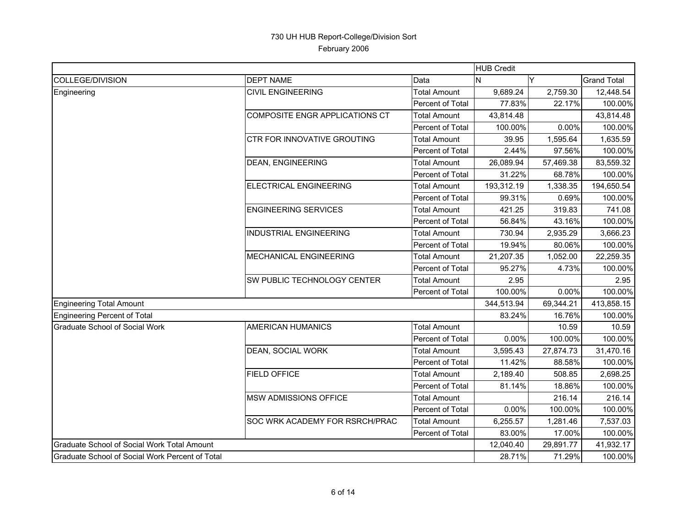|                                                 |                                       |                     | <b>HUB Credit</b> |           |                    |
|-------------------------------------------------|---------------------------------------|---------------------|-------------------|-----------|--------------------|
| COLLEGE/DIVISION                                | <b>DEPT NAME</b>                      | Data                | N                 | Y         | <b>Grand Total</b> |
| Engineering                                     | <b>CIVIL ENGINEERING</b>              | <b>Total Amount</b> | 9,689.24          | 2,759.30  | 12,448.54          |
|                                                 |                                       | Percent of Total    | 77.83%            | 22.17%    | 100.00%            |
|                                                 | <b>COMPOSITE ENGR APPLICATIONS CT</b> | <b>Total Amount</b> | 43,814.48         |           | 43,814.48          |
|                                                 |                                       | Percent of Total    | 100.00%           | 0.00%     | 100.00%            |
|                                                 | CTR FOR INNOVATIVE GROUTING           | <b>Total Amount</b> | 39.95             | 1,595.64  | 1,635.59           |
|                                                 |                                       | Percent of Total    | 2.44%             | 97.56%    | 100.00%            |
|                                                 | <b>DEAN, ENGINEERING</b>              | <b>Total Amount</b> | 26,089.94         | 57,469.38 | 83,559.32          |
|                                                 |                                       | Percent of Total    | 31.22%            | 68.78%    | 100.00%            |
|                                                 | ELECTRICAL ENGINEERING                | <b>Total Amount</b> | 193,312.19        | 1,338.35  | 194,650.54         |
|                                                 |                                       | Percent of Total    | 99.31%            | 0.69%     | 100.00%            |
|                                                 | <b>ENGINEERING SERVICES</b>           | <b>Total Amount</b> | 421.25            | 319.83    | 741.08             |
|                                                 |                                       | Percent of Total    | 56.84%            | 43.16%    | 100.00%            |
|                                                 | <b>INDUSTRIAL ENGINEERING</b>         | <b>Total Amount</b> | 730.94            | 2,935.29  | 3,666.23           |
|                                                 |                                       | Percent of Total    | 19.94%            | 80.06%    | 100.00%            |
|                                                 | <b>MECHANICAL ENGINEERING</b>         | <b>Total Amount</b> | 21,207.35         | 1,052.00  | 22,259.35          |
|                                                 |                                       | Percent of Total    | 95.27%            | 4.73%     | 100.00%            |
|                                                 | SW PUBLIC TECHNOLOGY CENTER           | <b>Total Amount</b> | 2.95              |           | 2.95               |
|                                                 |                                       | Percent of Total    | 100.00%           | 0.00%     | 100.00%            |
| <b>Engineering Total Amount</b>                 |                                       |                     | 344,513.94        | 69,344.21 | 413,858.15         |
| <b>Engineering Percent of Total</b>             |                                       |                     | 83.24%            | 16.76%    | 100.00%            |
| <b>Graduate School of Social Work</b>           | <b>AMERICAN HUMANICS</b>              | <b>Total Amount</b> |                   | 10.59     | 10.59              |
|                                                 |                                       | Percent of Total    | 0.00%             | 100.00%   | 100.00%            |
|                                                 | <b>DEAN, SOCIAL WORK</b>              | <b>Total Amount</b> | 3,595.43          | 27,874.73 | 31,470.16          |
|                                                 |                                       | Percent of Total    | 11.42%            | 88.58%    | 100.00%            |
|                                                 | <b>FIELD OFFICE</b>                   | <b>Total Amount</b> | 2,189.40          | 508.85    | 2,698.25           |
|                                                 |                                       | Percent of Total    | 81.14%            | 18.86%    | 100.00%            |
|                                                 | <b>MSW ADMISSIONS OFFICE</b>          | <b>Total Amount</b> |                   | 216.14    | 216.14             |
|                                                 |                                       | Percent of Total    | 0.00%             | 100.00%   | 100.00%            |
|                                                 | SOC WRK ACADEMY FOR RSRCH/PRAC        | <b>Total Amount</b> | 6,255.57          | 1,281.46  | 7,537.03           |
|                                                 |                                       | Percent of Total    | 83.00%            | 17.00%    | 100.00%            |
| Graduate School of Social Work Total Amount     |                                       |                     | 12,040.40         | 29,891.77 | 41,932.17          |
| Graduate School of Social Work Percent of Total |                                       |                     | 28.71%            | 71.29%    | 100.00%            |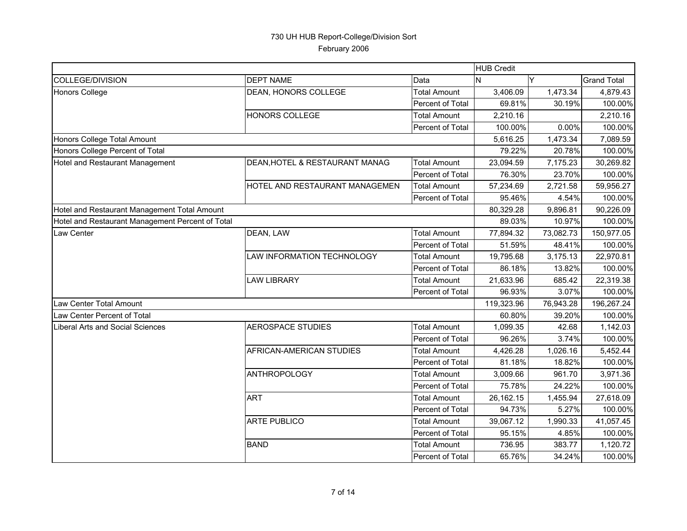|                                                  |                                |                     | <b>HUB Credit</b> |           |                    |
|--------------------------------------------------|--------------------------------|---------------------|-------------------|-----------|--------------------|
| COLLEGE/DIVISION                                 | <b>DEPT NAME</b>               | Data                | Y<br>N            |           | <b>Grand Total</b> |
| <b>Honors College</b>                            | DEAN, HONORS COLLEGE           | <b>Total Amount</b> | 3,406.09          | 1,473.34  | 4,879.43           |
|                                                  |                                | Percent of Total    | 69.81%            | 30.19%    | 100.00%            |
|                                                  | <b>HONORS COLLEGE</b>          | <b>Total Amount</b> | 2,210.16          |           | 2,210.16           |
|                                                  |                                | Percent of Total    | 100.00%           | 0.00%     | 100.00%            |
| Honors College Total Amount                      |                                |                     | 5,616.25          | 1,473.34  | 7,089.59           |
| Honors College Percent of Total                  |                                |                     | 79.22%            | 20.78%    | 100.00%            |
| Hotel and Restaurant Management                  | DEAN, HOTEL & RESTAURANT MANAG | <b>Total Amount</b> | 23,094.59         | 7,175.23  | 30,269.82          |
|                                                  |                                | Percent of Total    | 76.30%            | 23.70%    | 100.00%            |
|                                                  | HOTEL AND RESTAURANT MANAGEMEN | <b>Total Amount</b> | 57,234.69         | 2,721.58  | 59,956.27          |
|                                                  |                                | Percent of Total    | 95.46%            | 4.54%     | 100.00%            |
| Hotel and Restaurant Management Total Amount     |                                |                     | 80,329.28         | 9,896.81  | 90,226.09          |
| Hotel and Restaurant Management Percent of Total |                                |                     | 89.03%            | 10.97%    | 100.00%            |
| Law Center                                       | DEAN, LAW                      | <b>Total Amount</b> | 77,894.32         | 73,082.73 | 150,977.05         |
|                                                  |                                | Percent of Total    | 51.59%            | 48.41%    | 100.00%            |
|                                                  | LAW INFORMATION TECHNOLOGY     | <b>Total Amount</b> | 19,795.68         | 3,175.13  | 22,970.81          |
|                                                  |                                | Percent of Total    | 86.18%            | 13.82%    | 100.00%            |
|                                                  | <b>LAW LIBRARY</b>             | <b>Total Amount</b> | 21,633.96         | 685.42    | 22,319.38          |
|                                                  |                                | Percent of Total    | 96.93%            | 3.07%     | 100.00%            |
| Law Center Total Amount                          |                                |                     | 119,323.96        | 76,943.28 | 196,267.24         |
| Law Center Percent of Total                      |                                |                     | 60.80%            | 39.20%    | 100.00%            |
| <b>Liberal Arts and Social Sciences</b>          | <b>AEROSPACE STUDIES</b>       | <b>Total Amount</b> | 1,099.35          | 42.68     | 1,142.03           |
|                                                  |                                | Percent of Total    | 96.26%            | 3.74%     | 100.00%            |
|                                                  | AFRICAN-AMERICAN STUDIES       | <b>Total Amount</b> | 4,426.28          | 1,026.16  | 5,452.44           |
|                                                  |                                | Percent of Total    | 81.18%            | 18.82%    | 100.00%            |
|                                                  | <b>ANTHROPOLOGY</b>            | <b>Total Amount</b> | 3,009.66          | 961.70    | 3,971.36           |
|                                                  |                                | Percent of Total    | 75.78%            | 24.22%    | 100.00%            |
|                                                  | <b>ART</b>                     | <b>Total Amount</b> | 26,162.15         | 1,455.94  | 27,618.09          |
|                                                  |                                | Percent of Total    | 94.73%            | 5.27%     | 100.00%            |
|                                                  | <b>ARTE PUBLICO</b>            | <b>Total Amount</b> | 39,067.12         | 1,990.33  | 41,057.45          |
|                                                  |                                | Percent of Total    | 95.15%            | 4.85%     | 100.00%            |
|                                                  | <b>BAND</b>                    | <b>Total Amount</b> | 736.95            | 383.77    | 1,120.72           |
|                                                  |                                | Percent of Total    | 65.76%            | 34.24%    | 100.00%            |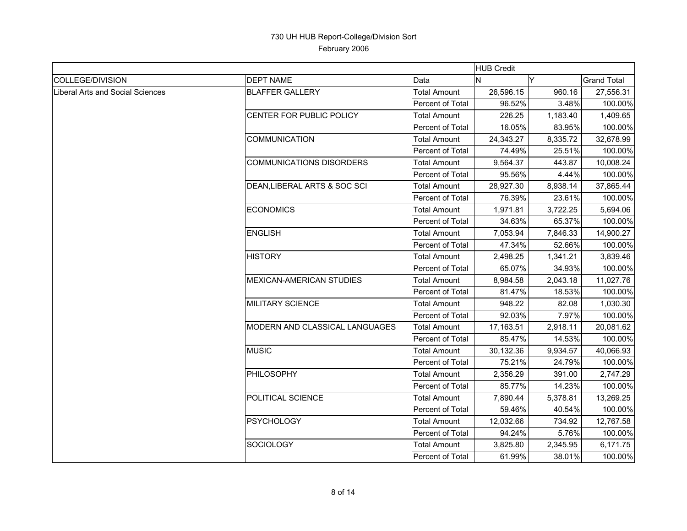|                                         |                                 |                         | <b>HUB Credit</b> |          |                    |
|-----------------------------------------|---------------------------------|-------------------------|-------------------|----------|--------------------|
| COLLEGE/DIVISION                        | <b>DEPT NAME</b>                | Data                    | IN.<br>Y          |          | <b>Grand Total</b> |
| <b>Liberal Arts and Social Sciences</b> | <b>BLAFFER GALLERY</b>          | <b>Total Amount</b>     | 26,596.15         | 960.16   | 27,556.31          |
|                                         |                                 | <b>Percent of Total</b> | 96.52%            | 3.48%    | 100.00%            |
|                                         | CENTER FOR PUBLIC POLICY        | <b>Total Amount</b>     | 226.25            | 1,183.40 | 1,409.65           |
|                                         |                                 | Percent of Total        | 16.05%            | 83.95%   | 100.00%            |
|                                         | <b>COMMUNICATION</b>            | <b>Total Amount</b>     | 24,343.27         | 8,335.72 | 32,678.99          |
|                                         |                                 | <b>Percent of Total</b> | 74.49%            | 25.51%   | 100.00%            |
|                                         | <b>COMMUNICATIONS DISORDERS</b> | <b>Total Amount</b>     | 9,564.37          | 443.87   | 10,008.24          |
|                                         |                                 | Percent of Total        | 95.56%            | 4.44%    | 100.00%            |
|                                         | DEAN, LIBERAL ARTS & SOC SCI    | <b>Total Amount</b>     | 28,927.30         | 8,938.14 | 37,865.44          |
|                                         |                                 | Percent of Total        | 76.39%            | 23.61%   | 100.00%            |
|                                         | <b>ECONOMICS</b>                | <b>Total Amount</b>     | 1,971.81          | 3,722.25 | 5,694.06           |
|                                         |                                 | Percent of Total        | 34.63%            | 65.37%   | 100.00%            |
|                                         | <b>ENGLISH</b>                  | <b>Total Amount</b>     | 7,053.94          | 7,846.33 | 14,900.27          |
|                                         |                                 | Percent of Total        | 47.34%            | 52.66%   | 100.00%            |
|                                         | <b>HISTORY</b>                  | <b>Total Amount</b>     | 2,498.25          | 1,341.21 | 3,839.46           |
|                                         |                                 | Percent of Total        | 65.07%            | 34.93%   | 100.00%            |
|                                         | MEXICAN-AMERICAN STUDIES        | <b>Total Amount</b>     | 8,984.58          | 2,043.18 | 11,027.76          |
|                                         |                                 | Percent of Total        | 81.47%            | 18.53%   | 100.00%            |
|                                         | <b>MILITARY SCIENCE</b>         | <b>Total Amount</b>     | 948.22            | 82.08    | 1,030.30           |
|                                         |                                 | Percent of Total        | 92.03%            | 7.97%    | 100.00%            |
|                                         | MODERN AND CLASSICAL LANGUAGES  | Total Amount            | 17,163.51         | 2,918.11 | 20,081.62          |
|                                         |                                 | Percent of Total        | 85.47%            | 14.53%   | 100.00%            |
|                                         | <b>MUSIC</b>                    | <b>Total Amount</b>     | 30,132.36         | 9,934.57 | 40,066.93          |
|                                         |                                 | <b>Percent of Total</b> | 75.21%            | 24.79%   | 100.00%            |
|                                         | <b>PHILOSOPHY</b>               | <b>Total Amount</b>     | 2,356.29          | 391.00   | 2,747.29           |
|                                         |                                 | Percent of Total        | 85.77%            | 14.23%   | 100.00%            |
|                                         | POLITICAL SCIENCE               | <b>Total Amount</b>     | 7,890.44          | 5,378.81 | 13,269.25          |
|                                         |                                 | Percent of Total        | 59.46%            | 40.54%   | 100.00%            |
|                                         | <b>PSYCHOLOGY</b>               | <b>Total Amount</b>     | 12,032.66         | 734.92   | 12,767.58          |
|                                         |                                 | Percent of Total        | 94.24%            | 5.76%    | 100.00%            |
|                                         | <b>SOCIOLOGY</b>                | Total Amount            | 3,825.80          | 2,345.95 | 6,171.75           |
|                                         |                                 | Percent of Total        | 61.99%            | 38.01%   | 100.00%            |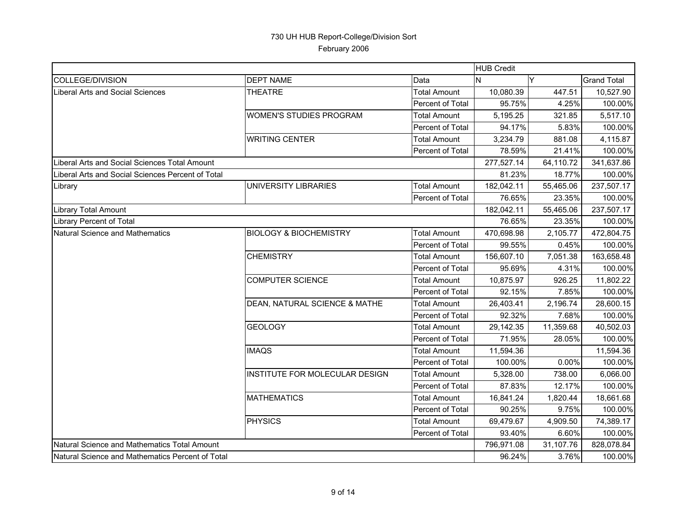|                                                   |                                   |                         | <b>HUB Credit</b> |           |                    |
|---------------------------------------------------|-----------------------------------|-------------------------|-------------------|-----------|--------------------|
| <b>COLLEGE/DIVISION</b>                           | <b>DEPT NAME</b>                  | Data                    | N                 | Y         | <b>Grand Total</b> |
| Liberal Arts and Social Sciences                  | <b>THEATRE</b>                    | <b>Total Amount</b>     | 10,080.39         | 447.51    | 10,527.90          |
|                                                   |                                   | Percent of Total        | 95.75%            | 4.25%     | 100.00%            |
|                                                   | <b>WOMEN'S STUDIES PROGRAM</b>    | <b>Total Amount</b>     | 5,195.25          | 321.85    | 5,517.10           |
|                                                   |                                   | Percent of Total        | 94.17%            | 5.83%     | 100.00%            |
|                                                   | <b>WRITING CENTER</b>             | <b>Total Amount</b>     | 3,234.79          | 881.08    | 4,115.87           |
|                                                   |                                   | Percent of Total        | 78.59%            | 21.41%    | 100.00%            |
| Liberal Arts and Social Sciences Total Amount     |                                   |                         | 277,527.14        | 64,110.72 | 341,637.86         |
| Liberal Arts and Social Sciences Percent of Total |                                   |                         | 81.23%            | 18.77%    | 100.00%            |
| Library                                           | UNIVERSITY LIBRARIES              | <b>Total Amount</b>     | 182,042.11        | 55,465.06 | 237,507.17         |
|                                                   |                                   | Percent of Total        | 76.65%            | 23.35%    | 100.00%            |
| <b>Library Total Amount</b>                       |                                   |                         | 182,042.11        | 55,465.06 | 237,507.17         |
| Library Percent of Total                          |                                   |                         | 76.65%            | 23.35%    | 100.00%            |
| Natural Science and Mathematics                   | <b>BIOLOGY &amp; BIOCHEMISTRY</b> | <b>Total Amount</b>     | 470,698.98        | 2,105.77  | 472,804.75         |
|                                                   |                                   | <b>Percent of Total</b> | 99.55%            | 0.45%     | 100.00%            |
|                                                   | <b>CHEMISTRY</b>                  | <b>Total Amount</b>     | 156,607.10        | 7,051.38  | 163,658.48         |
|                                                   |                                   | Percent of Total        | 95.69%            | 4.31%     | 100.00%            |
|                                                   | <b>COMPUTER SCIENCE</b>           | <b>Total Amount</b>     | 10,875.97         | 926.25    | 11,802.22          |
|                                                   |                                   | Percent of Total        | 92.15%            | 7.85%     | 100.00%            |
|                                                   | DEAN, NATURAL SCIENCE & MATHE     | <b>Total Amount</b>     | 26,403.41         | 2,196.74  | 28,600.15          |
|                                                   |                                   | Percent of Total        | 92.32%            | 7.68%     | 100.00%            |
|                                                   | <b>GEOLOGY</b>                    | Total Amount            | 29,142.35         | 11,359.68 | 40,502.03          |
|                                                   |                                   | Percent of Total        | 71.95%            | 28.05%    | 100.00%            |
|                                                   | <b>IMAQS</b>                      | <b>Total Amount</b>     | 11,594.36         |           | 11,594.36          |
|                                                   |                                   | Percent of Total        | 100.00%           | 0.00%     | 100.00%            |
|                                                   | INSTITUTE FOR MOLECULAR DESIGN    | <b>Total Amount</b>     | 5,328.00          | 738.00    | 6,066.00           |
|                                                   |                                   | Percent of Total        | 87.83%            | 12.17%    | 100.00%            |
|                                                   | <b>MATHEMATICS</b>                | <b>Total Amount</b>     | 16,841.24         | 1,820.44  | 18,661.68          |
|                                                   |                                   | Percent of Total        | 90.25%            | 9.75%     | 100.00%            |
|                                                   | <b>PHYSICS</b>                    | <b>Total Amount</b>     | 69,479.67         | 4,909.50  | 74,389.17          |
|                                                   |                                   | Percent of Total        | 93.40%            | 6.60%     | 100.00%            |
| Natural Science and Mathematics Total Amount      |                                   |                         | 796,971.08        | 31,107.76 | 828,078.84         |
| Natural Science and Mathematics Percent of Total  |                                   |                         | 96.24%            | 3.76%     | 100.00%            |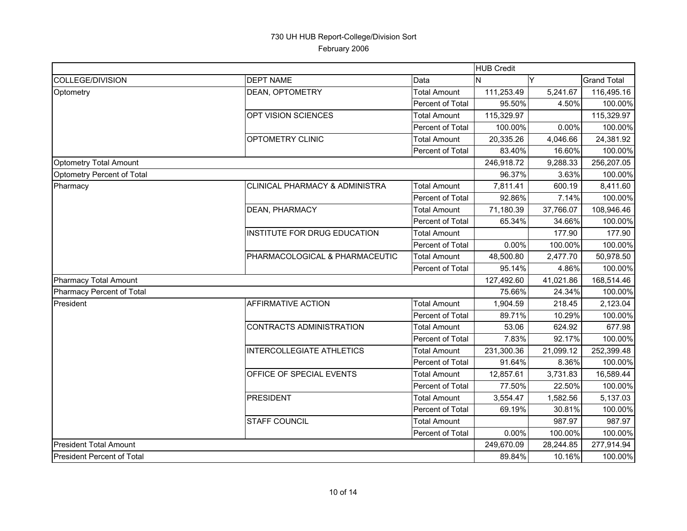|                                   |                                           |                     | <b>HUB Credit</b> |           |                    |
|-----------------------------------|-------------------------------------------|---------------------|-------------------|-----------|--------------------|
| COLLEGE/DIVISION                  | <b>DEPT NAME</b>                          | Data                | N                 | Y         | <b>Grand Total</b> |
| Optometry                         | <b>DEAN, OPTOMETRY</b>                    | <b>Total Amount</b> | 111,253.49        | 5,241.67  | 116,495.16         |
|                                   |                                           | Percent of Total    | 95.50%            | 4.50%     | 100.00%            |
|                                   | OPT VISION SCIENCES                       | <b>Total Amount</b> | 115,329.97        |           | 115,329.97         |
|                                   |                                           | Percent of Total    | 100.00%           | 0.00%     | 100.00%            |
|                                   | OPTOMETRY CLINIC                          | <b>Total Amount</b> | 20,335.26         | 4,046.66  | 24,381.92          |
|                                   |                                           | Percent of Total    | 83.40%            | 16.60%    | 100.00%            |
| <b>Optometry Total Amount</b>     |                                           |                     | 246,918.72        | 9,288.33  | 256,207.05         |
| Optometry Percent of Total        |                                           |                     | 96.37%            | 3.63%     | 100.00%            |
| Pharmacy                          | <b>CLINICAL PHARMACY &amp; ADMINISTRA</b> | <b>Total Amount</b> | 7,811.41          | 600.19    | 8,411.60           |
|                                   |                                           | Percent of Total    | 92.86%            | 7.14%     | 100.00%            |
|                                   | DEAN, PHARMACY                            | <b>Total Amount</b> | 71,180.39         | 37,766.07 | 108,946.46         |
|                                   |                                           | Percent of Total    | 65.34%            | 34.66%    | 100.00%            |
|                                   | INSTITUTE FOR DRUG EDUCATION              | <b>Total Amount</b> |                   | 177.90    | 177.90             |
|                                   |                                           | Percent of Total    | 0.00%             | 100.00%   | 100.00%            |
|                                   | PHARMACOLOGICAL & PHARMACEUTIC            | <b>Total Amount</b> | 48,500.80         | 2,477.70  | 50,978.50          |
|                                   |                                           | Percent of Total    | 95.14%            | 4.86%     | 100.00%            |
| <b>Pharmacy Total Amount</b>      |                                           |                     | 127,492.60        | 41,021.86 | 168,514.46         |
| Pharmacy Percent of Total         |                                           |                     | 75.66%            | 24.34%    | 100.00%            |
| President                         | <b>AFFIRMATIVE ACTION</b>                 | <b>Total Amount</b> | 1,904.59          | 218.45    | 2,123.04           |
|                                   |                                           | Percent of Total    | 89.71%            | 10.29%    | 100.00%            |
|                                   | <b>CONTRACTS ADMINISTRATION</b>           | <b>Total Amount</b> | 53.06             | 624.92    | 677.98             |
|                                   |                                           | Percent of Total    | 7.83%             | 92.17%    | 100.00%            |
|                                   | <b>INTERCOLLEGIATE ATHLETICS</b>          | <b>Total Amount</b> | 231,300.36        | 21,099.12 | 252,399.48         |
|                                   |                                           | Percent of Total    | 91.64%            | 8.36%     | 100.00%            |
|                                   | OFFICE OF SPECIAL EVENTS                  | <b>Total Amount</b> | 12,857.61         | 3,731.83  | 16,589.44          |
|                                   |                                           | Percent of Total    | 77.50%            | 22.50%    | 100.00%            |
|                                   | <b>PRESIDENT</b>                          | <b>Total Amount</b> | 3,554.47          | 1,582.56  | 5,137.03           |
|                                   |                                           | Percent of Total    | 69.19%            | 30.81%    | 100.00%            |
|                                   | <b>STAFF COUNCIL</b>                      | <b>Total Amount</b> |                   | 987.97    | 987.97             |
|                                   |                                           | Percent of Total    | 0.00%             | 100.00%   | 100.00%            |
| <b>President Total Amount</b>     |                                           |                     | 249,670.09        | 28,244.85 | 277,914.94         |
| <b>President Percent of Total</b> |                                           |                     | 89.84%            | 10.16%    | 100.00%            |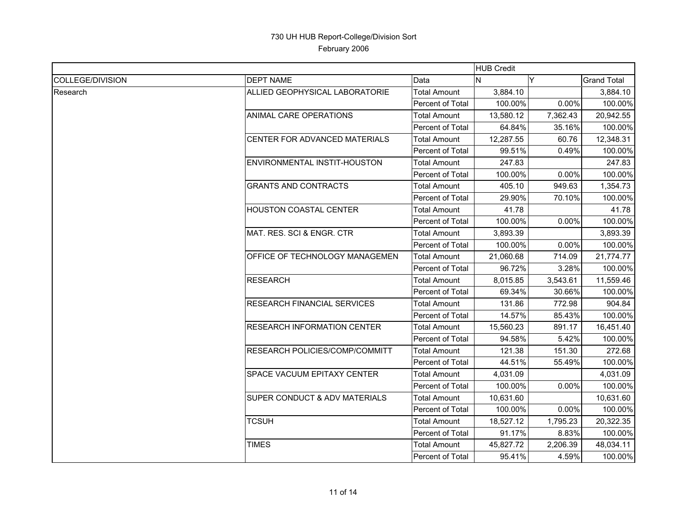|                  |                                    |                         | <b>HUB Credit</b> |          |                    |
|------------------|------------------------------------|-------------------------|-------------------|----------|--------------------|
| COLLEGE/DIVISION | <b>DEPT NAME</b>                   | Data                    | N                 | Y        | <b>Grand Total</b> |
| Research         | ALLIED GEOPHYSICAL LABORATORIE     | <b>Total Amount</b>     | 3,884.10          |          | 3,884.10           |
|                  |                                    | <b>Percent of Total</b> | 100.00%           | 0.00%    | 100.00%            |
|                  | ANIMAL CARE OPERATIONS             | <b>Total Amount</b>     | 13,580.12         | 7,362.43 | 20,942.55          |
|                  |                                    | Percent of Total        | 64.84%            | 35.16%   | 100.00%            |
|                  | CENTER FOR ADVANCED MATERIALS      | <b>Total Amount</b>     | 12,287.55         | 60.76    | 12,348.31          |
|                  |                                    | Percent of Total        | 99.51%            | 0.49%    | 100.00%            |
|                  | ENVIRONMENTAL INSTIT-HOUSTON       | Total Amount            | 247.83            |          | 247.83             |
|                  |                                    | Percent of Total        | 100.00%           | $0.00\%$ | 100.00%            |
|                  | <b>GRANTS AND CONTRACTS</b>        | Total Amount            | 405.10            | 949.63   | 1,354.73           |
|                  |                                    | Percent of Total        | 29.90%            | 70.10%   | 100.00%            |
|                  | <b>HOUSTON COASTAL CENTER</b>      | <b>Total Amount</b>     | 41.78             |          | 41.78              |
|                  |                                    | Percent of Total        | 100.00%           | 0.00%    | 100.00%            |
|                  | MAT. RES. SCI & ENGR. CTR          | <b>Total Amount</b>     | 3,893.39          |          | 3,893.39           |
|                  |                                    | Percent of Total        | 100.00%           | 0.00%    | 100.00%            |
|                  | OFFICE OF TECHNOLOGY MANAGEMEN     | Total Amount            | 21,060.68         | 714.09   | 21,774.77          |
|                  |                                    | Percent of Total        | 96.72%            | 3.28%    | 100.00%            |
|                  | <b>RESEARCH</b>                    | <b>Total Amount</b>     | 8,015.85          | 3,543.61 | 11,559.46          |
|                  |                                    | Percent of Total        | 69.34%            | 30.66%   | 100.00%            |
|                  | RESEARCH FINANCIAL SERVICES        | <b>Total Amount</b>     | 131.86            | 772.98   | 904.84             |
|                  |                                    | Percent of Total        | 14.57%            | 85.43%   | 100.00%            |
|                  | <b>RESEARCH INFORMATION CENTER</b> | <b>Total Amount</b>     | 15,560.23         | 891.17   | 16,451.40          |
|                  |                                    | Percent of Total        | 94.58%            | 5.42%    | 100.00%            |
|                  | RESEARCH POLICIES/COMP/COMMITT     | <b>Total Amount</b>     | 121.38            | 151.30   | 272.68             |
|                  |                                    | <b>Percent of Total</b> | 44.51%            | 55.49%   | 100.00%            |
|                  | SPACE VACUUM EPITAXY CENTER        | <b>Total Amount</b>     | 4,031.09          |          | 4,031.09           |
|                  |                                    | Percent of Total        | 100.00%           | 0.00%    | 100.00%            |
|                  | SUPER CONDUCT & ADV MATERIALS      | <b>Total Amount</b>     | 10,631.60         |          | 10,631.60          |
|                  |                                    | Percent of Total        | 100.00%           | 0.00%    | 100.00%            |
|                  | <b>TCSUH</b>                       | <b>Total Amount</b>     | 18,527.12         | 1,795.23 | 20,322.35          |
|                  |                                    | Percent of Total        | 91.17%            | 8.83%    | 100.00%            |
|                  | <b>TIMES</b>                       | Total Amount            | 45,827.72         | 2,206.39 | 48,034.11          |
|                  |                                    | Percent of Total        | 95.41%            | 4.59%    | 100.00%            |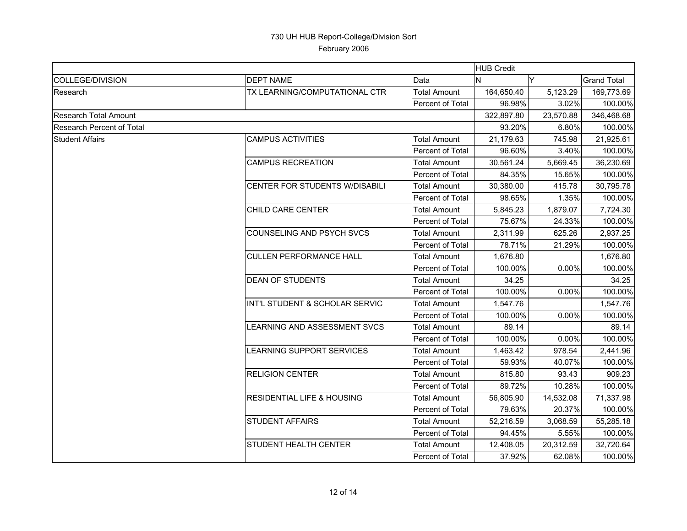|                                  |                                       |                         | <b>HUB Credit</b> |           |                    |
|----------------------------------|---------------------------------------|-------------------------|-------------------|-----------|--------------------|
| COLLEGE/DIVISION                 | <b>DEPT NAME</b>                      | Data                    | Y<br>N.           |           | <b>Grand Total</b> |
| Research                         | TX LEARNING/COMPUTATIONAL CTR         | <b>Total Amount</b>     | 164,650.40        | 5,123.29  | 169,773.69         |
|                                  |                                       | <b>Percent of Total</b> | 96.98%            | 3.02%     | 100.00%            |
| <b>Research Total Amount</b>     |                                       |                         | 322,897.80        | 23,570.88 | 346,468.68         |
| <b>Research Percent of Total</b> |                                       |                         | 93.20%            | 6.80%     | 100.00%            |
| <b>Student Affairs</b>           | <b>CAMPUS ACTIVITIES</b>              | <b>Total Amount</b>     | 21,179.63         | 745.98    | 21,925.61          |
|                                  |                                       | Percent of Total        | 96.60%            | 3.40%     | 100.00%            |
|                                  | <b>CAMPUS RECREATION</b>              | <b>Total Amount</b>     | 30,561.24         | 5,669.45  | 36,230.69          |
|                                  |                                       | Percent of Total        | 84.35%            | 15.65%    | 100.00%            |
|                                  | CENTER FOR STUDENTS W/DISABILI        | Total Amount            | 30,380.00         | 415.78    | 30,795.78          |
|                                  |                                       | Percent of Total        | 98.65%            | 1.35%     | 100.00%            |
|                                  | CHILD CARE CENTER                     | <b>Total Amount</b>     | 5,845.23          | 1,879.07  | 7,724.30           |
|                                  |                                       | Percent of Total        | 75.67%            | 24.33%    | 100.00%            |
|                                  | COUNSELING AND PSYCH SVCS             | Total Amount            | 2,311.99          | 625.26    | 2,937.25           |
|                                  |                                       | Percent of Total        | 78.71%            | 21.29%    | 100.00%            |
|                                  | <b>CULLEN PERFORMANCE HALL</b>        | <b>Total Amount</b>     | 1,676.80          |           | 1,676.80           |
|                                  |                                       | Percent of Total        | 100.00%           | 0.00%     | 100.00%            |
|                                  | <b>DEAN OF STUDENTS</b>               | <b>Total Amount</b>     | 34.25             |           | 34.25              |
|                                  |                                       | Percent of Total        | 100.00%           | 0.00%     | 100.00%            |
|                                  | INT'L STUDENT & SCHOLAR SERVIC        | <b>Total Amount</b>     | 1,547.76          |           | 1,547.76           |
|                                  |                                       | <b>Percent of Total</b> | 100.00%           | $0.00\%$  | 100.00%            |
|                                  | LEARNING AND ASSESSMENT SVCS          | Total Amount            | 89.14             |           | 89.14              |
|                                  |                                       | Percent of Total        | 100.00%           | 0.00%     | 100.00%            |
|                                  | <b>LEARNING SUPPORT SERVICES</b>      | <b>Total Amount</b>     | 1,463.42          | 978.54    | 2,441.96           |
|                                  |                                       | Percent of Total        | 59.93%            | 40.07%    | 100.00%            |
|                                  | <b>RELIGION CENTER</b>                | <b>Total Amount</b>     | 815.80            | 93.43     | 909.23             |
|                                  |                                       | Percent of Total        | 89.72%            | 10.28%    | 100.00%            |
|                                  | <b>RESIDENTIAL LIFE &amp; HOUSING</b> | Total Amount            | 56.805.90         | 14,532.08 | 71,337.98          |
|                                  |                                       | Percent of Total        | 79.63%            | 20.37%    | 100.00%            |
|                                  | <b>STUDENT AFFAIRS</b>                | <b>Total Amount</b>     | 52,216.59         | 3,068.59  | 55,285.18          |
|                                  |                                       | <b>Percent of Total</b> | 94.45%            | 5.55%     | 100.00%            |
|                                  | <b>STUDENT HEALTH CENTER</b>          | <b>Total Amount</b>     | 12,408.05         | 20,312.59 | 32,720.64          |
|                                  |                                       | Percent of Total        | 37.92%            | 62.08%    | 100.00%            |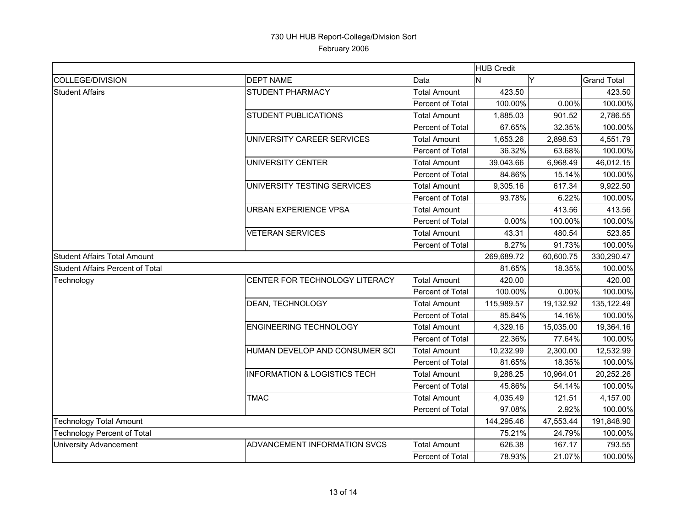|                                         |                                         |                     |            | <b>HUB Credit</b> |                    |  |  |
|-----------------------------------------|-----------------------------------------|---------------------|------------|-------------------|--------------------|--|--|
| COLLEGE/DIVISION                        | <b>DEPT NAME</b>                        | Data                | N          | Y                 | <b>Grand Total</b> |  |  |
| <b>Student Affairs</b>                  | <b>STUDENT PHARMACY</b>                 | <b>Total Amount</b> | 423.50     |                   | 423.50             |  |  |
|                                         |                                         | Percent of Total    | 100.00%    | 0.00%             | 100.00%            |  |  |
|                                         | <b>STUDENT PUBLICATIONS</b>             | <b>Total Amount</b> | 1,885.03   | 901.52            | 2,786.55           |  |  |
|                                         |                                         | Percent of Total    | 67.65%     | 32.35%            | 100.00%            |  |  |
|                                         | UNIVERSITY CAREER SERVICES              | <b>Total Amount</b> | 1,653.26   | 2,898.53          | 4,551.79           |  |  |
|                                         |                                         | Percent of Total    | 36.32%     | 63.68%            | 100.00%            |  |  |
|                                         | UNIVERSITY CENTER                       | <b>Total Amount</b> | 39,043.66  | 6,968.49          | 46,012.15          |  |  |
|                                         |                                         | Percent of Total    | 84.86%     | 15.14%            | 100.00%            |  |  |
|                                         | UNIVERSITY TESTING SERVICES             | <b>Total Amount</b> | 9,305.16   | 617.34            | 9,922.50           |  |  |
|                                         |                                         | Percent of Total    | 93.78%     | 6.22%             | 100.00%            |  |  |
|                                         | <b>URBAN EXPERIENCE VPSA</b>            | <b>Total Amount</b> |            | 413.56            | 413.56             |  |  |
|                                         |                                         | Percent of Total    | 0.00%      | 100.00%           | 100.00%            |  |  |
|                                         | <b>VETERAN SERVICES</b>                 | <b>Total Amount</b> | 43.31      | 480.54            | 523.85             |  |  |
|                                         |                                         | Percent of Total    | 8.27%      | 91.73%            | 100.00%            |  |  |
| <b>Student Affairs Total Amount</b>     |                                         |                     | 269,689.72 | 60,600.75         | 330,290.47         |  |  |
| <b>Student Affairs Percent of Total</b> |                                         |                     | 81.65%     | 18.35%            | 100.00%            |  |  |
| Technology                              | CENTER FOR TECHNOLOGY LITERACY          | <b>Total Amount</b> | 420.00     |                   | 420.00             |  |  |
|                                         |                                         | Percent of Total    | 100.00%    | 0.00%             | 100.00%            |  |  |
|                                         | <b>DEAN, TECHNOLOGY</b>                 | <b>Total Amount</b> | 115,989.57 | 19,132.92         | 135,122.49         |  |  |
|                                         |                                         | Percent of Total    | 85.84%     | 14.16%            | 100.00%            |  |  |
|                                         | <b>ENGINEERING TECHNOLOGY</b>           | <b>Total Amount</b> | 4,329.16   | 15,035.00         | 19,364.16          |  |  |
|                                         |                                         | Percent of Total    | 22.36%     | 77.64%            | 100.00%            |  |  |
|                                         | HUMAN DEVELOP AND CONSUMER SCI          | <b>Total Amount</b> | 10,232.99  | 2,300.00          | 12,532.99          |  |  |
|                                         |                                         | Percent of Total    | 81.65%     | 18.35%            | 100.00%            |  |  |
|                                         | <b>INFORMATION &amp; LOGISTICS TECH</b> | <b>Total Amount</b> | 9,288.25   | 10,964.01         | 20,252.26          |  |  |
|                                         |                                         | Percent of Total    | 45.86%     | 54.14%            | 100.00%            |  |  |
|                                         | <b>TMAC</b>                             | <b>Total Amount</b> | 4,035.49   | 121.51            | 4,157.00           |  |  |
|                                         |                                         | Percent of Total    | 97.08%     | 2.92%             | 100.00%            |  |  |
| <b>Technology Total Amount</b>          |                                         |                     | 144,295.46 | 47,553.44         | 191,848.90         |  |  |
| <b>Technology Percent of Total</b>      |                                         |                     | 75.21%     | 24.79%            | 100.00%            |  |  |
| <b>University Advancement</b>           | ADVANCEMENT INFORMATION SVCS            | <b>Total Amount</b> | 626.38     | 167.17            | 793.55             |  |  |
|                                         |                                         | Percent of Total    | 78.93%     | 21.07%            | 100.00%            |  |  |